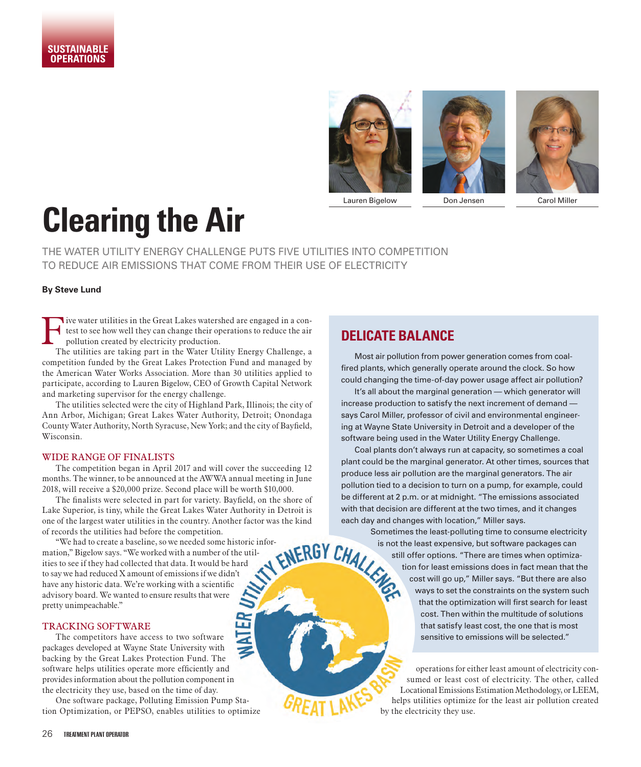





# **Clearing the Air**

THE WATER UTILITY ENERGY CHALLENGE PUTS FIVE UTILITIES INTO COMPETITION TO REDUCE AIR EMISSIONS THAT COME FROM THEIR USE OF ELECTRICITY

## **By Steve Lund**

Five water utilities in the Great Lakes watershed are engaged in a contrast to see how well they can change their operations to reduce the air pollution created by electricity production. test to see how well they can change their operations to reduce the air pollution created by electricity production.

The utilities are taking part in the Water Utility Energy Challenge, a competition funded by the Great Lakes Protection Fund and managed by the American Water Works Association. More than 30 utilities applied to participate, according to Lauren Bigelow, CEO of Growth Capital Network and marketing supervisor for the energy challenge.

The utilities selected were the city of Highland Park, Illinois; the city of Ann Arbor, Michigan; Great Lakes Water Authority, Detroit; Onondaga County Water Authority, North Syracuse, New York; and the city of Bayfield, Wisconsin.

## WIDE RANGE OF FINALISTS

The competition began in April 2017 and will cover the succeeding 12 months. The winner, to be announced at the AWWA annual meeting in June 2018, will receive a \$20,000 prize. Second place will be worth \$10,000.

The finalists were selected in part for variety. Bayfield, on the shore of Lake Superior, is tiny, while the Great Lakes Water Authority in Detroit is one of the largest water utilities in the country. Another factor was the kind of records the utilities had before the competition.

"We had to create a baseline, so we needed some historic infor-<br>ion," Bigelow says. "We worked with a number of the util-<br>s to see if they had collected that data. It would be hard<br>ay we had reduced X amount of emissions i mation," Bigelow says. "We worked with a number of the utilities to see if they had collected that data. It would be hard to say we had reduced X amount of emissions if we didn't have any historic data. We're working with a scientific advisory board. We wanted to ensure results that were pretty unimpeachable."

## TRACKING SOFTWARE

The competitors have access to two software packages developed at Wayne State University with backing by the Great Lakes Protection Fund. The software helps utilities operate more efficiently and provides information about the pollution component in the electricity they use, based on the time of day.

One software package, Polluting Emission Pump Station Optimization, or PEPSO, enables utilities to optimize

## **DELICATE BALANCE**

Most air pollution from power generation comes from coalfired plants, which generally operate around the clock. So how could changing the time-of-day power usage affect air pollution?

It's all about the marginal generation — which generator will increase production to satisfy the next increment of demand says Carol Miller, professor of civil and environmental engineering at Wayne State University in Detroit and a developer of the software being used in the Water Utility Energy Challenge.

Coal plants don't always run at capacity, so sometimes a coal plant could be the marginal generator. At other times, sources that produce less air pollution are the marginal generators. The air pollution tied to a decision to turn on a pump, for example, could be different at 2 p.m. or at midnight. "The emissions associated with that decision are different at the two times, and it changes each day and changes with location," Miller says.

> Sometimes the least-polluting time to consume electricity is not the least expensive, but software packages can still offer options. "There are times when optimization for least emissions does in fact mean that the cost will go up," Miller says. "But there are also ways to set the constraints on the system such that the optimization will first search for least cost. Then within the multitude of solutions that satisfy least cost, the one that is most sensitive to emissions will be selected."

operations for either least amount of electricity consumed or least cost of electricity. The other, called Locational Emissions Estimation Methodology, or LEEM, helps utilities optimize for the least air pollution created by the electricity they use.